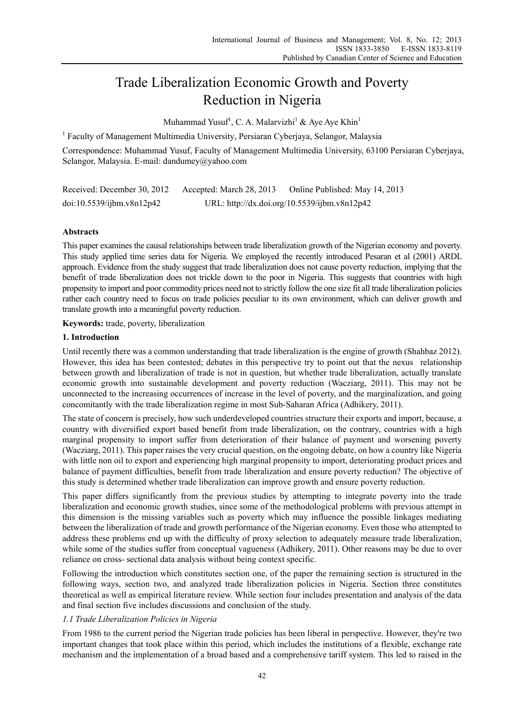# Trade Liberalization Economic Growth and Poverty Reduction in Nigeria

Muhammad Yusuf<sup>1</sup>, C. A. Malarvizhi<sup>1</sup> & Aye Aye Khin<sup>1</sup>

<sup>1</sup> Faculty of Management Multimedia University, Persiaran Cyberjaya, Selangor, Malaysia

Correspondence: Muhammad Yusuf, Faculty of Management Multimedia University, 63100 Persiaran Cyberjaya, Selangor, Malaysia. E-mail: dandumey@yahoo.com

| Received: December 30, 2012 | Accepted: March 28, 2013                     | Online Published: May 14, 2013 |
|-----------------------------|----------------------------------------------|--------------------------------|
| doi:10.5539/ijbm.v8n12p42   | URL: http://dx.doi.org/10.5539/ijbm.v8n12p42 |                                |

## **Abstracts**

This paper examines the causal relationships between trade liberalization growth of the Nigerian economy and poverty. This study applied time series data for Nigeria. We employed the recently introduced Pesaran et al (2001) ARDL approach. Evidence from the study suggest that trade liberalization does not cause poverty reduction, implying that the benefit of trade liberalization does not trickle down to the poor in Nigeria. This suggests that countries with high propensity to import and poor commodity prices need not to strictly follow the one size fit all trade liberalization policies rather each country need to focus on trade policies peculiar to its own environment, which can deliver growth and translate growth into a meaningful poverty reduction.

**Keywords:** trade, poverty, liberalization

## **1. Introduction**

Until recently there was a common understanding that trade liberalization is the engine of growth (Shahbaz 2012). However, this idea has been contested; debates in this perspective try to point out that the nexus relationship between growth and liberalization of trade is not in question, but whether trade liberalization, actually translate economic growth into sustainable development and poverty reduction (Wacziarg, 2011). This may not be unconnected to the increasing occurrences of increase in the level of poverty, and the marginalization, and going concomitantly with the trade liberalization regime in most Sub-Saharan Africa (Adhikery, 2011).

The state of concern is precisely, how such underdeveloped countries structure their exports and import, because, a country with diversified export based benefit from trade liberalization, on the contrary, countries with a high marginal propensity to import suffer from deterioration of their balance of payment and worsening poverty (Wacziarg, 2011). This paper raises the very crucial question, on the ongoing debate, on how a country like Nigeria with little non oil to export and experiencing high marginal propensity to import, deteriorating product prices and balance of payment difficulties, benefit from trade liberalization and ensure poverty reduction? The objective of this study is determined whether trade liberalization can improve growth and ensure poverty reduction.

This paper differs significantly from the previous studies by attempting to integrate poverty into the trade liberalization and economic growth studies, since some of the methodological problems with previous attempt in this dimension is the missing variables such as poverty which may influence the possible linkages mediating between the liberalization of trade and growth performance of the Nigerian economy. Even those who attempted to address these problems end up with the difficulty of proxy selection to adequately measure trade liberalization, while some of the studies suffer from conceptual vagueness (Adhikery, 2011). Other reasons may be due to over reliance on cross- sectional data analysis without being context specific.

Following the introduction which constitutes section one, of the paper the remaining section is structured in the following ways, section two, and analyzed trade liberalization policies in Nigeria. Section three constitutes theoretical as well as empirical literature review. While section four includes presentation and analysis of the data and final section five includes discussions and conclusion of the study.

## *1.1 Trade Liberalization Policies in Nigeria*

From 1986 to the current period the Nigerian trade policies has been liberal in perspective. However, they're two important changes that took place within this period, which includes the institutions of a flexible, exchange rate mechanism and the implementation of a broad based and a comprehensive tariff system. This led to raised in the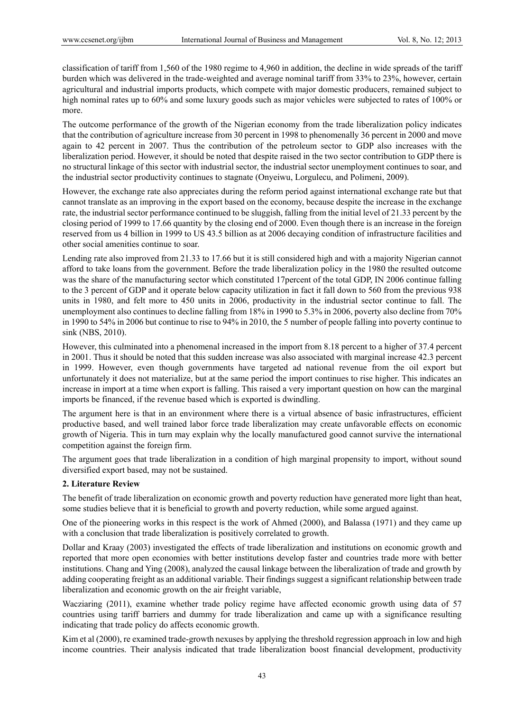classification of tariff from 1,560 of the 1980 regime to 4,960 in addition, the decline in wide spreads of the tariff burden which was delivered in the trade-weighted and average nominal tariff from 33% to 23%, however, certain agricultural and industrial imports products, which compete with major domestic producers, remained subject to high nominal rates up to 60% and some luxury goods such as major vehicles were subjected to rates of 100% or more.

The outcome performance of the growth of the Nigerian economy from the trade liberalization policy indicates that the contribution of agriculture increase from 30 percent in 1998 to phenomenally 36 percent in 2000 and move again to 42 percent in 2007. Thus the contribution of the petroleum sector to GDP also increases with the liberalization period. However, it should be noted that despite raised in the two sector contribution to GDP there is no structural linkage of this sector with industrial sector, the industrial sector unemployment continues to soar, and the industrial sector productivity continues to stagnate (Onyeiwu, Lorgulecu, and Polimeni, 2009).

However, the exchange rate also appreciates during the reform period against international exchange rate but that cannot translate as an improving in the export based on the economy, because despite the increase in the exchange rate, the industrial sector performance continued to be sluggish, falling from the initial level of 21.33 percent by the closing period of 1999 to 17.66 quantity by the closing end of 2000. Even though there is an increase in the foreign reserved from us 4 billion in 1999 to US 43.5 billion as at 2006 decaying condition of infrastructure facilities and other social amenities continue to soar.

Lending rate also improved from 21.33 to 17.66 but it is still considered high and with a majority Nigerian cannot afford to take loans from the government. Before the trade liberalization policy in the 1980 the resulted outcome was the share of the manufacturing sector which constituted 17 percent of the total GDP, IN 2006 continue falling to the 3 percent of GDP and it operate below capacity utilization in fact it fall down to 560 from the previous 938 units in 1980, and felt more to 450 units in 2006, productivity in the industrial sector continue to fall. The unemployment also continues to decline falling from 18% in 1990 to 5.3% in 2006, poverty also decline from 70% in 1990 to 54% in 2006 but continue to rise to 94% in 2010, the 5 number of people falling into poverty continue to sink (NBS, 2010).

However, this culminated into a phenomenal increased in the import from 8.18 percent to a higher of 37.4 percent in 2001. Thus it should be noted that this sudden increase was also associated with marginal increase 42.3 percent in 1999. However, even though governments have targeted ad national revenue from the oil export but unfortunately it does not materialize, but at the same period the import continues to rise higher. This indicates an increase in import at a time when export is falling. This raised a very important question on how can the marginal imports be financed, if the revenue based which is exported is dwindling.

The argument here is that in an environment where there is a virtual absence of basic infrastructures, efficient productive based, and well trained labor force trade liberalization may create unfavorable effects on economic growth of Nigeria. This in turn may explain why the locally manufactured good cannot survive the international competition against the foreign firm.

The argument goes that trade liberalization in a condition of high marginal propensity to import, without sound diversified export based, may not be sustained.

### **2. Literature Review**

The benefit of trade liberalization on economic growth and poverty reduction have generated more light than heat, some studies believe that it is beneficial to growth and poverty reduction, while some argued against.

One of the pioneering works in this respect is the work of Ahmed (2000), and Balassa (1971) and they came up with a conclusion that trade liberalization is positively correlated to growth.

Dollar and Kraay (2003) investigated the effects of trade liberalization and institutions on economic growth and reported that more open economies with better institutions develop faster and countries trade more with better institutions. Chang and Ying (2008), analyzed the causal linkage between the liberalization of trade and growth by adding cooperating freight as an additional variable. Their findings suggest a significant relationship between trade liberalization and economic growth on the air freight variable,

Wacziaring (2011), examine whether trade policy regime have affected economic growth using data of 57 countries using tariff barriers and dummy for trade liberalization and came up with a significance resulting indicating that trade policy do affects economic growth.

Kim et al (2000), re examined trade-growth nexuses by applying the threshold regression approach in low and high income countries. Their analysis indicated that trade liberalization boost financial development, productivity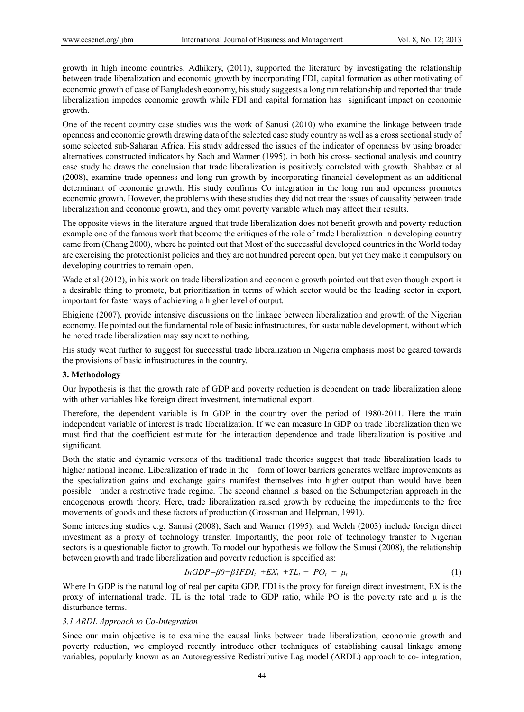growth in high income countries. Adhikery, (2011), supported the literature by investigating the relationship between trade liberalization and economic growth by incorporating FDI, capital formation as other motivating of economic growth of case of Bangladesh economy, his study suggests a long run relationship and reported that trade liberalization impedes economic growth while FDI and capital formation has significant impact on economic growth.

One of the recent country case studies was the work of Sanusi (2010) who examine the linkage between trade openness and economic growth drawing data of the selected case study country as well as a cross sectional study of some selected sub-Saharan Africa. His study addressed the issues of the indicator of openness by using broader alternatives constructed indicators by Sach and Wanner (1995), in both his cross- sectional analysis and country case study he draws the conclusion that trade liberalization is positively correlated with growth. Shahbaz et al (2008), examine trade openness and long run growth by incorporating financial development as an additional determinant of economic growth. His study confirms Co integration in the long run and openness promotes economic growth. However, the problems with these studies they did not treat the issues of causality between trade liberalization and economic growth, and they omit poverty variable which may affect their results.

The opposite views in the literature argued that trade liberalization does not benefit growth and poverty reduction example one of the famous work that become the critiques of the role of trade liberalization in developing country came from (Chang 2000), where he pointed out that Most of the successful developed countries in the World today are exercising the protectionist policies and they are not hundred percent open, but yet they make it compulsory on developing countries to remain open.

Wade et al (2012), in his work on trade liberalization and economic growth pointed out that even though export is a desirable thing to promote, but prioritization in terms of which sector would be the leading sector in export, important for faster ways of achieving a higher level of output.

Ehigiene (2007), provide intensive discussions on the linkage between liberalization and growth of the Nigerian economy. He pointed out the fundamental role of basic infrastructures, for sustainable development, without which he noted trade liberalization may say next to nothing.

His study went further to suggest for successful trade liberalization in Nigeria emphasis most be geared towards the provisions of basic infrastructures in the country.

#### **3. Methodology**

Our hypothesis is that the growth rate of GDP and poverty reduction is dependent on trade liberalization along with other variables like foreign direct investment, international export.

Therefore, the dependent variable is In GDP in the country over the period of 1980-2011. Here the main independent variable of interest is trade liberalization. If we can measure In GDP on trade liberalization then we must find that the coefficient estimate for the interaction dependence and trade liberalization is positive and significant.

Both the static and dynamic versions of the traditional trade theories suggest that trade liberalization leads to higher national income. Liberalization of trade in the form of lower barriers generates welfare improvements as the specialization gains and exchange gains manifest themselves into higher output than would have been possible under a restrictive trade regime. The second channel is based on the Schumpeterian approach in the endogenous growth theory. Here, trade liberalization raised growth by reducing the impediments to the free movements of goods and these factors of production (Grossman and Helpman, 1991).

Some interesting studies e.g. Sanusi (2008), Sach and Warner (1995), and Welch (2003) include foreign direct investment as a proxy of technology transfer. Importantly, the poor role of technology transfer to Nigerian sectors is a questionable factor to growth. To model our hypothesis we follow the Sanusi (2008), the relationship between growth and trade liberalization and poverty reduction is specified as:

$$
InGDP = \beta 0 + \beta IFDI_t + EX_t + TL_t + PO_t + \mu_t \tag{1}
$$

Where In GDP is the natural log of real per capita GDP, FDI is the proxy for foreign direct investment, EX is the proxy of international trade, TL is the total trade to GDP ratio, while PO is the poverty rate and μ is the disturbance terms.

#### *3.1 ARDL Approach to Co-Integration*

Since our main objective is to examine the causal links between trade liberalization, economic growth and poverty reduction, we employed recently introduce other techniques of establishing causal linkage among variables, popularly known as an Autoregressive Redistributive Lag model (ARDL) approach to co- integration,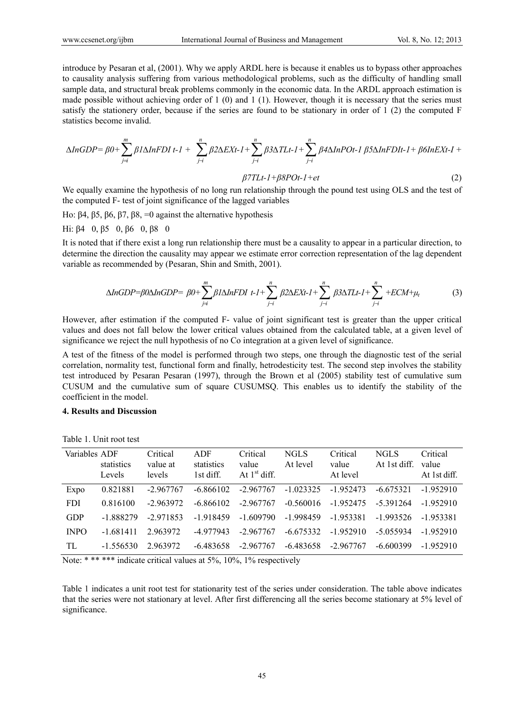introduce by Pesaran et al, (2001). Why we apply ARDL here is because it enables us to bypass other approaches to causality analysis suffering from various methodological problems, such as the difficulty of handling small sample data, and structural break problems commonly in the economic data. In the ARDL approach estimation is made possible without achieving order of 1 (0) and 1 (1). However, though it is necessary that the series must satisfy the stationery order, because if the series are found to be stationary in order of 1 (2) the computed F statistics become invalid.

$$
\Delta InGDP = \beta 0 + \sum_{j=i}^{m} \beta 1 \Delta InFDI \ t-1 + \sum_{j=i}^{n} \beta 2 \Delta EXt-1 + \sum_{j=i}^{n} \beta 3 \Delta T L t-1 + \sum_{j=i}^{n} \beta 4 \Delta InPOt-1 \ \beta 5 \Delta InFDIt-1 + \beta 6 InEXt-1 + \sum_{j=i}^{n} \beta 2 \Delta EXt-1 + \sum_{j=i}^{n} \beta 3 \Delta T L t-1 + \sum_{j=i}^{n} \beta 4 \Delta InPOt-1 \ \beta 5 \Delta InFDIt-1 + \beta 6 InEXt-1 + \sum_{j=i}^{n} \beta 3 \Delta T L t-1 + \sum_{j=i}^{n} \beta 3 \Delta T L t-1 + \sum_{j=i}^{n} \beta 5 \Delta InFDIt-1 + \beta 6 InEXt-1 + \sum_{j=i}^{n} \beta 3 \Delta T L t-1 + \sum_{j=i}^{n} \beta 5 \Delta InFDIt-1 + \beta 6 InEXt-1 + \sum_{j=i}^{n} \beta 3 \Delta T L t-1 + \sum_{j=i}^{n} \beta 5 \Delta InFDIt-1 + \beta 6 InEXt-1 + \sum_{j=i}^{n} \beta 5 \Delta T L t-1 + \sum_{j=i}^{n} \beta 5 \Delta T L t-1 + \sum_{j=i}^{n} \beta 5 \Delta I t-1 + \sum_{j=i}^{n} \beta 5 \Delta I t-1 + \sum_{j=i}^{n} \beta 5 \Delta I t-1 + \sum_{j=i}^{n} \beta 5 \Delta I t-1 + \sum_{j=i}^{n} \beta 5 \Delta I t-1 + \sum_{j=i}^{n} \beta 5 \Delta I t-1 + \sum_{j=i}^{n} \beta 5 \Delta I t-1 + \sum_{j=i}^{n} \beta 5 \Delta I t-1 + \sum_{j=i}^{n} \beta 5 \Delta I t-1 + \sum_{j=i}^{n} \beta 5 \Delta I t-1 + \sum_{j=i}^{n} \beta 5 \Delta I t-1 + \sum_{j=i}^{n} \beta 5 \Delta I t-1 + \sum_{j=i}^{n} \beta 5 \Delta I t-1 + \sum_{j=i}^{n} \beta 5 \Delta I t-1 + \sum_{j=i}^{n} \beta 5 \Delta I t-1 + \sum_{j=i}^{n} \beta 5 \Delta I t-1 + \sum_{j=i}^{n} \beta 5 \
$$

*β7TLt-1+β8POt-1+et* (2)

We equally examine the hypothesis of no long run relationship through the pound test using OLS and the test of the computed F- test of joint significance of the lagged variables

Ho: β4, β5, β6, β7, β8, =0 against the alternative hypothesis

Hi: β4 0, β5 0, β6 0, β8 0

It is noted that if there exist a long run relationship there must be a causality to appear in a particular direction, to determine the direction the causality may appear we estimate error correction representation of the lag dependent variable as recommended by (Pesaran, Shin and Smith, 2001).

$$
\Delta InGDP = \beta 0 \Delta InGDP = \beta 0 + \sum_{j=i}^{m} \beta 1 \Delta InFDI \ t - I + \sum_{j=i}^{n} \beta 2 \Delta EXt - I + \sum_{j=i}^{n} \beta 3 \Delta T Lt - I + \sum_{j=i}^{n} + ECM + \mu_{t}
$$
 (3)

However, after estimation if the computed F- value of joint significant test is greater than the upper critical values and does not fall below the lower critical values obtained from the calculated table, at a given level of significance we reject the null hypothesis of no Co integration at a given level of significance.

A test of the fitness of the model is performed through two steps, one through the diagnostic test of the serial correlation, normality test, functional form and finally, hetrodesticity test. The second step involves the stability test introduced by Pesaran Pesaran (1997), through the Brown et al (2005) stability test of cumulative sum CUSUM and the cumulative sum of square CUSUMSQ. This enables us to identify the stability of the coefficient in the model.

#### **4. Results and Discussion**

| Variables ADF | statistics<br>Levels | Critical<br>value at<br>levels | ADF<br>statistics<br>1st diff. | Critical<br>value<br>At $1st$ diff. | NGLS<br>At level | Critical<br>value<br>At level | NGL S<br>At 1st diff. | Critical<br>value<br>At 1st diff. |
|---------------|----------------------|--------------------------------|--------------------------------|-------------------------------------|------------------|-------------------------------|-----------------------|-----------------------------------|
| Expo          | 0.821881             | $-2.967767$                    | $-6.866102$                    | $-2.967767$                         | $-1.023325$      | $-1952473$                    | $-6675321$            | $-1952910$                        |
| <b>FDI</b>    | 0.816100             | $-2963972$                     | $-6.866102$                    | $-2.967767$                         | $-0.560016$      | -1 952475                     | $-5391264$            | $-1952910$                        |
| <b>GDP</b>    | -1 888279            | $-2.971853$                    | $-1.918459$                    | $-1609790$                          | $-1.998459$      | -1953381                      | -1 993526             | -1953381                          |
| <b>INPO</b>   | $-1.681411$          | 2963972                        | -4 977943                      | $-2.967767$                         | $-6.675332$      | $-1.952910$                   | $-5.055934$           | $-1952910$                        |
| TL.           | $-1.556530$          | 2963972                        | -6.483658                      | $-2.967767$                         | -6.483658        | $-2.967767$                   | $-6.600399$           | $-1952910$                        |

Table 1. Unit root test

Note: \* \*\* \*\*\* indicate critical values at 5%, 10%, 1% respectively

Table 1 indicates a unit root test for stationarity test of the series under consideration. The table above indicates that the series were not stationary at level. After first differencing all the series become stationary at 5% level of significance.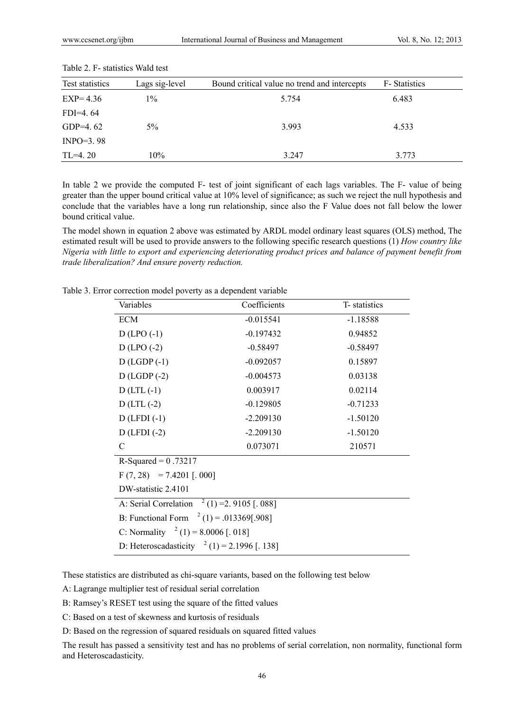| Test statistics | Lags sig-level | Bound critical value no trend and intercepts | F-Statistics |  |
|-----------------|----------------|----------------------------------------------|--------------|--|
| $EXP=4.36$      | $1\%$          | 5.754                                        | 6.483        |  |
| $FDI=4.64$      |                |                                              |              |  |
| GDP=4.62        | $5\%$          | 3.993                                        | 4.533        |  |
| $INPO=3.98$     |                |                                              |              |  |
| $TL=4.20$       | 10%            | 3.247                                        | 3.773        |  |

Table 2. F- statistics Wald test

In table 2 we provide the computed F- test of joint significant of each lags variables. The F- value of being greater than the upper bound critical value at 10% level of significance; as such we reject the null hypothesis and conclude that the variables have a long run relationship, since also the F Value does not fall below the lower bound critical value.

The model shown in equation 2 above was estimated by ARDL model ordinary least squares (OLS) method, The estimated result will be used to provide answers to the following specific research questions (1) *How country like Nigeria with little to export and experiencing deteriorating product prices and balance of payment benefit from trade liberalization? And ensure poverty reduction.* 

| Variables                                         | Coefficients | T- statistics |  |  |  |
|---------------------------------------------------|--------------|---------------|--|--|--|
| <b>ECM</b>                                        | $-0.015541$  | $-1.18588$    |  |  |  |
| $D$ (LPO $(-1)$                                   | $-0.197432$  | 0.94852       |  |  |  |
| $D$ (LPO $(-2)$                                   | $-0.58497$   | $-0.58497$    |  |  |  |
| $D$ (LGDP $(-1)$ )                                | $-0.092057$  | 0.15897       |  |  |  |
| $D$ (LGDP $(-2)$ )                                | $-0.004573$  | 0.03138       |  |  |  |
| $D$ (LTL $(-1)$                                   | 0.003917     | 0.02114       |  |  |  |
| $D$ (LTL $(-2)$                                   | $-0.129805$  | $-0.71233$    |  |  |  |
| $D$ (LFDI $(-1)$                                  | $-2.209130$  | $-1.50120$    |  |  |  |
| $D$ (LFDI $(-2)$                                  | $-2.209130$  | $-1.50120$    |  |  |  |
| C                                                 | 0.073071     | 210571        |  |  |  |
| R-Squared = $0.73217$                             |              |               |  |  |  |
| $F(7, 28) = 7.4201$ [. 000]                       |              |               |  |  |  |
| DW-statistic 2.4101                               |              |               |  |  |  |
| $2(1) = 2.9105$ [. 088]<br>A: Serial Correlation  |              |               |  |  |  |
| B: Functional Form $^{2}$ (1) = .013369[.908]     |              |               |  |  |  |
| C: Normality $^{2}$ (1) = 8.0006 [. 018]          |              |               |  |  |  |
| D: Heteroscadasticity $^{2}$ (1) = 2.1996 [. 138] |              |               |  |  |  |

Table 3. Error correction model poverty as a dependent variable

These statistics are distributed as chi-square variants, based on the following test below

A: Lagrange multiplier test of residual serial correlation

B: Ramsey's RESET test using the square of the fitted values

C: Based on a test of skewness and kurtosis of residuals

D: Based on the regression of squared residuals on squared fitted values

The result has passed a sensitivity test and has no problems of serial correlation, non normality, functional form and Heteroscadasticity.